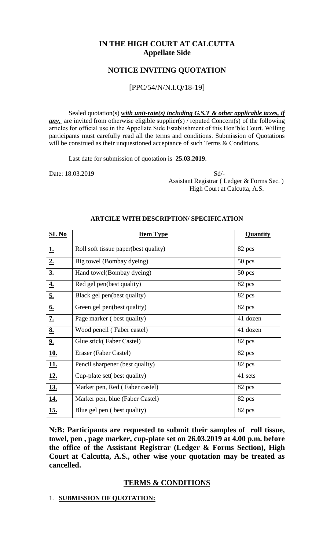# **IN THE HIGH COURT AT CALCUTTA Appellate Side**

### **NOTICE INVITING QUOTATION**

## [PPC/54/N/N.I.Q/18-19]

Sealed quotation(s) *with unit-rate(s) including G.S.T & other applicable taxes, if any*, are invited from otherwise eligible supplier(s) / reputed Concern(s) of the following articles for official use in the Appellate Side Establishment of this Hon'ble Court. Willing participants must carefully read all the terms and conditions. Submission of Quotations will be construed as their unquestioned acceptance of such Terms & Conditions.

Last date for submission of quotation is **25.03.2019**.

Date: 18.03.2019 Sd/- Assistant Registrar ( Ledger & Forms Sec. ) High Court at Calcutta, A.S.

| $SL$ No           | <b>Item Type</b>                     | Quantity |
|-------------------|--------------------------------------|----------|
| <u>1.</u>         | Roll soft tissue paper(best quality) | 82 pcs   |
| 2.                | Big towel (Bombay dyeing)            | $50$ pcs |
| $\underline{3.}$  | Hand towel(Bombay dyeing)            | 50 pcs   |
| <u>4.</u>         | Red gel pen(best quality)            | 82 pcs   |
| 5.                | Black gel pen(best quality)          | 82 pcs   |
| $\underline{6}$ . | Green gel pen(best quality)          | 82 pcs   |
| $\underline{7.}$  | Page marker (best quality)           | 41 dozen |
| <u>8.</u>         | Wood pencil (Faber castel)           | 41 dozen |
| 2.                | Glue stick (Faber Castel)            | 82 pcs   |
| <u>10.</u>        | Eraser (Faber Castel)                | 82 pcs   |
| <b>11.</b>        | Pencil sharpener (best quality)      | 82 pcs   |
| <u>12.</u>        | Cup-plate set (best quality)         | 41 sets  |
| <u>13.</u>        | Marker pen, Red (Faber castel)       | 82 pcs   |
| <u>14.</u>        | Marker pen, blue (Faber Castel)      | 82 pcs   |
| <u>15.</u>        | Blue gel pen (best quality)          | 82 pcs   |

#### **ARTCILE WITH DESCRIPTION/ SPECIFICATION**

**N:B: Participants are requested to submit their samples of roll tissue, towel, pen , page marker, cup-plate set on 26.03.2019 at 4.00 p.m. before the office of the Assistant Registrar (Ledger & Forms Section), High Court at Calcutta, A.S., other wise your quotation may be treated as cancelled.**

### **TERMS & CONDITIONS**

#### 1. **SUBMISSION OF QUOTATION:**